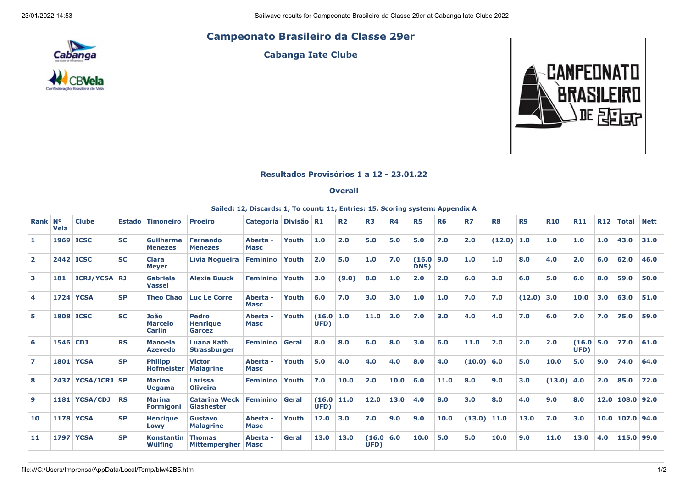## **Campeonato Brasileiro da Classe 29er**



**Cabanga Iate Clube**



## **Resultados Provisórios 1 a 12 - 23.01.22**

## **Overall**

## **Sailed: 12, Discards: 1, To count: 11, Entries: 15, Scoring system: Appendix A**

| Rank Nº        | Vela     | <b>Clube</b>        | <b>Estado</b> | <b>Timoneiro</b>                        | <b>Proeiro</b>                            | <b>Categoria</b>             | Divisão R1   |                | R <sub>2</sub> | R <sub>3</sub>      | <b>R4</b> | <b>R5</b>      | <b>R6</b> | <b>R7</b> | R <sub>8</sub> | R <sub>9</sub> | <b>R10</b> | <b>R11</b>     | <b>R12</b> | <b>Total</b>      | <b>Nett</b> |
|----------------|----------|---------------------|---------------|-----------------------------------------|-------------------------------------------|------------------------------|--------------|----------------|----------------|---------------------|-----------|----------------|-----------|-----------|----------------|----------------|------------|----------------|------------|-------------------|-------------|
| 1.             |          | 1969 ICSC           | <b>SC</b>     | <b>Guilherme</b><br><b>Menezes</b>      | <b>Fernando</b><br><b>Menezes</b>         | <b>Aberta</b><br><b>Masc</b> | Youth        | 1.0            | 2.0            | 5.0                 | 5.0       | 5.0            | 7.0       | 2.0       | $(12.0)$ 1.0   |                | 1.0        | 1.0            | 1.0        | 43.0              | 31.0        |
| $\overline{2}$ |          | <b>2442 ICSC</b>    | <b>SC</b>     | <b>Clara</b><br><b>Meyer</b>            | Lívia Nogueira                            | <b>Feminino</b>              | Youth        | 2.0            | 5.0            | 1.0                 | 7.0       | (16.0)<br>DNS) | 9.0       | 1.0       | 1.0            | 8.0            | 4.0        | 2.0            | 6.0        | 62.0              | 46.0        |
| 3              | 181      | <b>ICRJ/YCSA RJ</b> |               | Gabriela<br><b>Vassel</b>               | <b>Alexia Buuck</b>                       | <b>Feminino</b>              | Youth        | 3.0            | (9.0)          | 8.0                 | 1.0       | 2.0            | 2.0       | 6.0       | 3.0            | 6.0            | 5.0        | 6.0            | 8.0        | 59.0              | 50.0        |
| 4              |          | <b>1724 YCSA</b>    | <b>SP</b>     | <b>Theo Chao</b>                        | <b>Luc Le Corre</b>                       | <b>Aberta</b><br><b>Masc</b> | Youth        | 6.0            | 7.0            | 3.0                 | 3.0       | 1.0            | 1.0       | 7.0       | 7.0            | (12.0)         | 3.0        | 10.0           | 3.0        | 63.0              | 51.0        |
| 5.             |          | <b>1808 ICSC</b>    | <b>SC</b>     | João<br><b>Marcelo</b><br><b>Carlin</b> | <b>Pedro</b><br><b>Henrique</b><br>Garcez | <b>Aberta</b><br><b>Masc</b> | Youth        | (16.0)<br>UFD) | 1.0            | 11.0                | 2.0       | 7.0            | 3.0       | 4.0       | 4.0            | 7.0            | 6.0        | 7.0            | 7.0        | 75.0              | 59.0        |
| 6              | 1546 CDJ |                     | <b>RS</b>     | <b>Manoela</b><br><b>Azevedo</b>        | <b>Luana Kath</b><br><b>Strassburger</b>  | <b>Feminino</b>              | Geral        | 8.0            | 8.0            | 6.0                 | 8.0       | 3.0            | 6.0       | 11.0      | 2.0            | 2.0            | 2.0        | (16.0)<br>UFD) | 5.0        | 77.0              | 61.0        |
| $\overline{ }$ |          | <b>1801 YCSA</b>    | <b>SP</b>     | <b>Philipp</b><br><b>Hofmeister</b>     | <b>Victor</b><br><b>Malagrine</b>         | <b>Aberta</b><br><b>Masc</b> | Youth        | 5.0            | 4.0            | 4.0                 | 4.0       | 8.0            | 4.0       | (10.0)    | 6.0            | 5.0            | 10.0       | 5.0            | 9.0        | 74.0              | 64.0        |
| 8              |          | 2437 YCSA/ICRJ SP   |               | <b>Marina</b><br><b>Uegama</b>          | Larissa<br><b>Oliveira</b>                | <b>Feminino</b>              | Youth        | 7.0            | 10.0           | 2.0                 | 10.0      | 6.0            | 11.0      | 8.0       | 9.0            | 3.0            | (13.0)     | 4.0            | 2.0        | 85.0              | 72.0        |
| 9              |          | 1181   YCSA/CDJ     | <b>RS</b>     | <b>Marina</b><br><b>Formigoni</b>       | <b>Catarina Weck</b><br><b>Glashester</b> | <b>Feminino</b>              | Geral        | (16.0)<br>UFD) | 11.0           | 12.0                | 13.0      | 4.0            | 8.0       | 3.0       | 8.0            | 4.0            | 9.0        | 8.0            |            | $12.0$ 108.0 92.0 |             |
| 10             |          | <b>1178 YCSA</b>    | <b>SP</b>     | <b>Henrique</b><br>Lowy                 | Gustavo<br><b>Malagrine</b>               | <b>Aberta</b><br><b>Masc</b> | Youth        | 12.0           | 3.0            | 7.0                 | 9.0       | 9.0            | 10.0      | (13.0)    | 11.0           | 13.0           | 7.0        | 3.0            |            | $10.0$ 107.0 94.0 |             |
| 11             |          | <b>1797 YCSA</b>    | <b>SP</b>     | <b>Konstantin</b><br>Wülfing            | <b>Thomas</b><br><b>Mittempergher</b>     | <b>Aberta</b><br><b>Masc</b> | <b>Geral</b> | 13.0           | 13.0           | (16.0   6.0<br>UFD) |           | 10.0           | 5.0       | 5.0       | 10.0           | 9.0            | 11.0       | 13.0           | 4.0        | 115.0 99.0        |             |